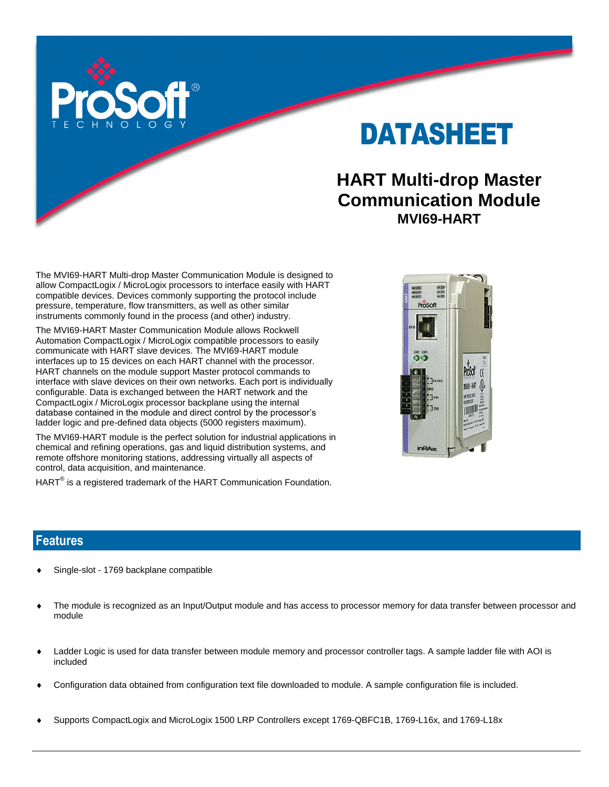

# DATASHEET

# **HART Multi-drop Master Communication Module MVI69-HART**

The MVI69-HART Multi-drop Master Communication Module is designed to allow CompactLogix / MicroLogix processors to interface easily with HART compatible devices. Devices commonly supporting the protocol include pressure, temperature, flow transmitters, as well as other similar instruments commonly found in the process (and other) industry.

The MVI69-HART Master Communication Module allows Rockwell Automation CompactLogix / MicroLogix compatible processors to easily communicate with HART slave devices. The MVI69-HART module interfaces up to 15 devices on each HART channel with the processor. HART channels on the module support Master protocol commands to interface with slave devices on their own networks. Each port is individually configurable. Data is exchanged between the HART network and the CompactLogix / MicroLogix processor backplane using the internal database contained in the module and direct control by the processor's ladder logic and pre-defined data objects (5000 registers maximum).

The MVI69-HART module is the perfect solution for industrial applications in chemical and refining operations, gas and liquid distribution systems, and remote offshore monitoring stations, addressing virtually all aspects of control, data acquisition, and maintenance.

 $\mathsf{HART}^\circledast$  is a registered trademark of the HART Communication Foundation.



#### **Features**

- Single-slot 1769 backplane compatible
- The module is recognized as an Input/Output module and has access to processor memory for data transfer between processor and module
- Ladder Logic is used for data transfer between module memory and processor controller tags. A sample ladder file with AOI is included
- Configuration data obtained from configuration text file downloaded to module. A sample configuration file is included.
- Supports CompactLogix and MicroLogix 1500 LRP Controllers except 1769-QBFC1B, 1769-L16x, and 1769-L18x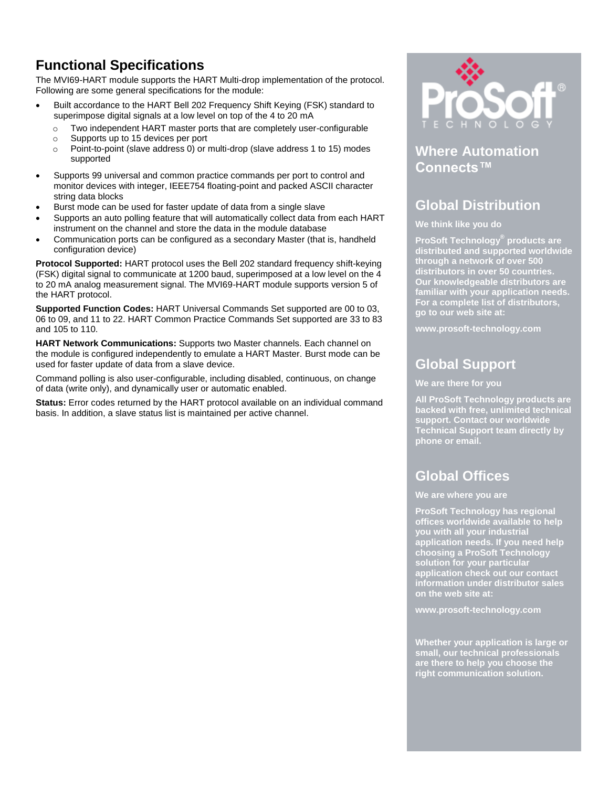# **Functional Specifications**

The MVI69-HART module supports the HART Multi-drop implementation of the protocol. Following are some general specifications for the module:

- Built accordance to the HART Bell 202 Frequency Shift Keying (FSK) standard to superimpose digital signals at a low level on top of the 4 to 20 mA
	- o Two independent HART master ports that are completely user-configurable
	- o Supports up to 15 devices per port
	- o Point-to-point (slave address 0) or multi-drop (slave address 1 to 15) modes supported
- Supports 99 universal and common practice commands per port to control and monitor devices with integer, IEEE754 floating-point and packed ASCII character string data blocks
- Burst mode can be used for faster update of data from a single slave
- Supports an auto polling feature that will automatically collect data from each HART instrument on the channel and store the data in the module database
- Communication ports can be configured as a secondary Master (that is, handheld configuration device)

**Protocol Supported:** HART protocol uses the Bell 202 standard frequency shift-keying (FSK) digital signal to communicate at 1200 baud, superimposed at a low level on the 4 to 20 mA analog measurement signal. The MVI69-HART module supports version 5 of the HART protocol.

**Supported Function Codes:** HART Universal Commands Set supported are 00 to 03, 06 to 09, and 11 to 22. HART Common Practice Commands Set supported are 33 to 83 and 105 to 110.

**HART Network Communications:** Supports two Master channels. Each channel on the module is configured independently to emulate a HART Master. Burst mode can be used for faster update of data from a slave device.

Command polling is also user-configurable, including disabled, continuous, on change of data (write only), and dynamically user or automatic enabled.

**Status:** Error codes returned by the HART protocol available on an individual command basis. In addition, a slave status list is maintained per active channel.



### **Where Automation Connects™**

# **Global Distribution**

#### **We think like you do**

**ProSoft Technology® products are distributed and supported worldwide through a network of over 500 distributors in over 50 countries. Our knowledgeable distributors are familiar with your application needs. For a complete list of distributors, go to our web site at:**

**www.prosoft-technology.com**

# **Global Support**

#### **We are there for you**

**All ProSoft Technology products are backed with free, unlimited technical support. Contact our worldwide Technical Support team directly by phone or email.**

## **Global Offices**

#### **We are where you are**

**ProSoft Technology has regional offices worldwide available to help you with all your industrial application needs. If you need help choosing a ProSoft Technology solution for your particular application check out our contact information under distributor sales on the web site at:**

**www.prosoft-technology.com**

**Whether your application is large or small, our technical professionals are there to help you choose the right communication solution.**